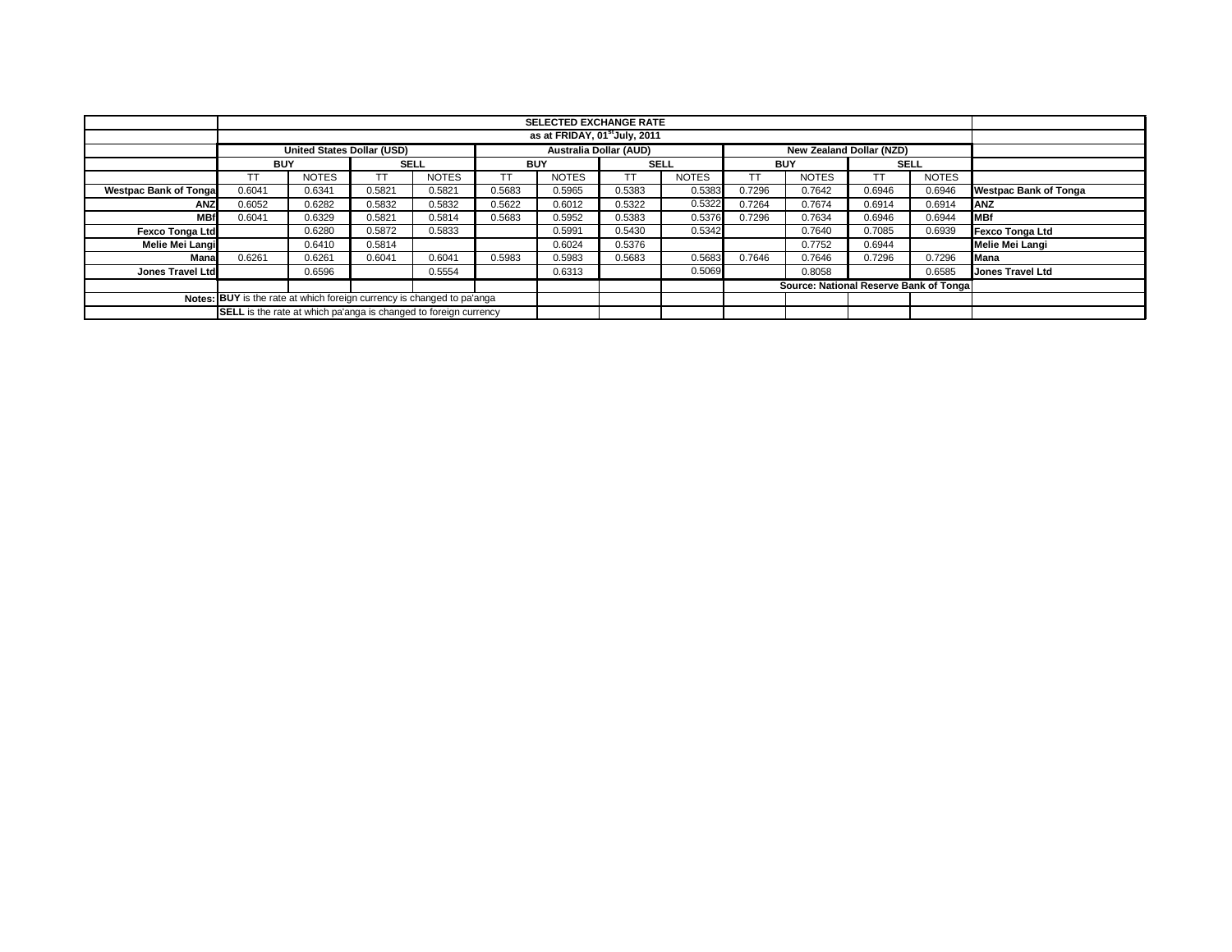|                                                                        |                                                                  | <b>SELECTED EXCHANGE RATE</b>     |             |              |            |                        |             |              |            |                                        |             |              |                              |
|------------------------------------------------------------------------|------------------------------------------------------------------|-----------------------------------|-------------|--------------|------------|------------------------|-------------|--------------|------------|----------------------------------------|-------------|--------------|------------------------------|
|                                                                        | as at FRIDAY, 01 <sup>st</sup> July, 2011                        |                                   |             |              |            |                        |             |              |            |                                        |             |              |                              |
|                                                                        |                                                                  | <b>United States Dollar (USD)</b> |             |              |            | Australia Dollar (AUD) |             |              |            | New Zealand Dollar (NZD)               |             |              |                              |
|                                                                        | <b>BUY</b>                                                       |                                   | <b>SELL</b> |              | <b>BUY</b> |                        | <b>SELL</b> |              | <b>BUY</b> |                                        | <b>SELL</b> |              |                              |
|                                                                        | TT                                                               | <b>NOTES</b>                      |             | <b>NOTES</b> | TΤ         | <b>NOTES</b>           | TT          | <b>NOTES</b> |            | <b>NOTES</b>                           |             | <b>NOTES</b> |                              |
| <b>Westpac Bank of Tongal</b>                                          | 0.6041                                                           | 0.6341                            | 0.5821      | 0.5821       | 0.5683     | 0.5965                 | 0.5383      | 0.5383       | 0.7296     | 0.7642                                 | 0.6946      | 0.6946       | <b>Westpac Bank of Tonga</b> |
| ANZ                                                                    | 0.6052                                                           | 0.6282                            | 0.5832      | 0.5832       | 0.5622     | 0.6012                 | 0.5322      | 0.5322       | 0.7264     | 0.7674                                 | 0.6914      | 0.6914       | ANZ                          |
| <b>MBf</b>                                                             | 0.6041                                                           | 0.6329                            | 0.5821      | 0.5814       | 0.5683     | 0.5952                 | 0.5383      | 0.5376       | 0.7296     | 0.7634                                 | 0.6946      | 0.6944       | <b>MBf</b>                   |
| <b>Fexco Tonga Ltd</b>                                                 |                                                                  | 0.6280                            | 0.5872      | 0.5833       |            | 0.5991                 | 0.5430      | 0.5342       |            | 0.7640                                 | 0.7085      | 0.6939       | <b>Fexco Tonga Ltd</b>       |
| <b>Melie Mei Langi</b>                                                 |                                                                  | 0.6410                            | 0.5814      |              |            | 0.6024                 | 0.5376      |              |            | 0.7752                                 | 0.6944      |              | Melie Mei Langi              |
| Mana                                                                   | 0.6261                                                           | 0.6261                            | 0.6041      | 0.6041       | 0.5983     | 0.5983                 | 0.5683      | 0.5683       | 0.7646     | 0.7646                                 | 0.7296      | 0.7296       | Mana                         |
| <b>Jones Travel Ltd</b>                                                |                                                                  | 0.6596                            |             | 0.5554       |            | 0.6313                 |             | 0.5069       |            | 0.8058                                 |             | 0.6585       | <b>Jones Travel Ltd</b>      |
|                                                                        |                                                                  |                                   |             |              |            |                        |             |              |            | Source: National Reserve Bank of Tonga |             |              |                              |
| Notes: BUY is the rate at which foreign currency is changed to pa'anga |                                                                  |                                   |             |              |            |                        |             |              |            |                                        |             |              |                              |
|                                                                        | SELL is the rate at which pa'anga is changed to foreign currency |                                   |             |              |            |                        |             |              |            |                                        |             |              |                              |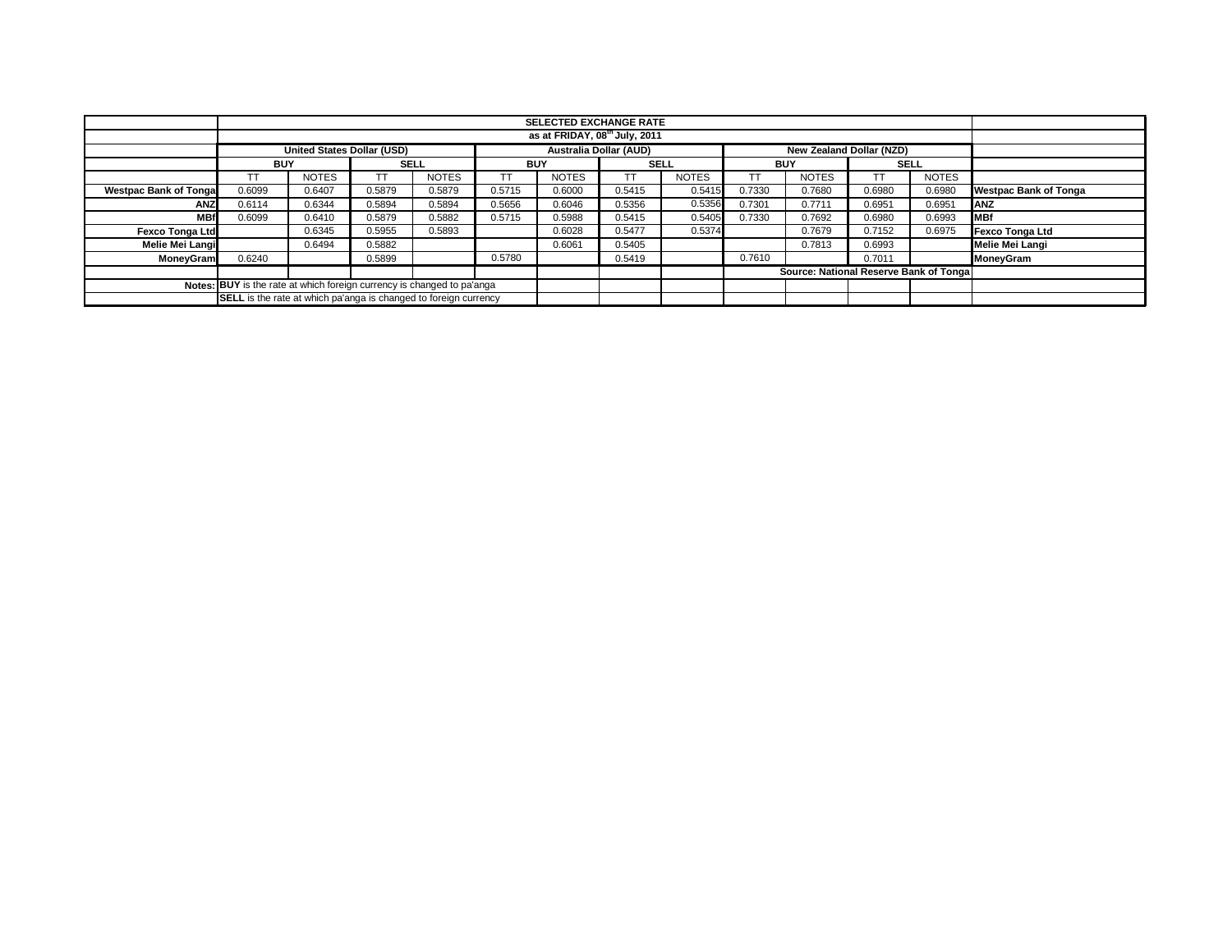|                              |                                                                        | <b>SELECTED EXCHANGE RATE</b>     |             |              |            |                               |             |              |            |                                        |        |              |                              |
|------------------------------|------------------------------------------------------------------------|-----------------------------------|-------------|--------------|------------|-------------------------------|-------------|--------------|------------|----------------------------------------|--------|--------------|------------------------------|
|                              | as at FRIDAY, 08 <sup>th</sup> July, 2011                              |                                   |             |              |            |                               |             |              |            |                                        |        |              |                              |
|                              |                                                                        | <b>United States Dollar (USD)</b> |             |              |            | <b>Australia Dollar (AUD)</b> |             |              |            | New Zealand Dollar (NZD)               |        |              |                              |
|                              | <b>BUY</b>                                                             |                                   | <b>SELL</b> |              | <b>BUY</b> |                               | <b>SELL</b> |              | <b>BUY</b> |                                        |        | <b>SELL</b>  |                              |
|                              | ТT                                                                     | <b>NOTES</b>                      |             | <b>NOTES</b> |            | <b>NOTES</b>                  |             | <b>NOTES</b> | TT.        | <b>NOTES</b>                           |        | <b>NOTES</b> |                              |
| <b>Westpac Bank of Tonga</b> | 0.6099                                                                 | 0.6407                            | 0.5879      | 0.5879       | 0.5715     | 0.6000                        | 0.5415      | 0.5415       | 0.7330     | 0.7680                                 | 0.6980 | 0.6980       | <b>Westpac Bank of Tonga</b> |
| <b>ANZ</b>                   | 0.6114                                                                 | 0.6344                            | 0.5894      | 0.5894       | 0.5656     | 0.6046                        | 0.5356      | 0.5356       | 0.7301     | 0.7711                                 | 0.6951 | 0.6951       | ANZ                          |
| <b>MBf</b>                   | 0.6099                                                                 | 0.6410                            | 0.5879      | 0.5882       | 0.5715     | 0.5988                        | 0.5415      | 0.5405       | 0.7330     | 0.7692                                 | 0.6980 | 0.6993       | <b>MBf</b>                   |
| <b>Fexco Tonga Ltd</b>       |                                                                        | 0.6345                            | 0.5955      | 0.5893       |            | 0.6028                        | 0.5477      | 0.5374       |            | 0.7679                                 | 0.7152 | 0.6975       | <b>Fexco Tonga Ltd</b>       |
| Melie Mei Langi              |                                                                        | 0.6494                            | 0.5882      |              |            | 0.6061                        | 0.5405      |              |            | 0.7813                                 | 0.6993 |              | <b>Melie Mei Langi</b>       |
| MoneyGram                    | 0.6240                                                                 |                                   | 0.5899      |              | 0.5780     |                               | 0.5419      |              | 0.7610     |                                        | 0.7011 |              | MoneyGram                    |
|                              |                                                                        |                                   |             |              |            |                               |             |              |            | Source: National Reserve Bank of Tonga |        |              |                              |
|                              | Notes: BUY is the rate at which foreign currency is changed to pa'anga |                                   |             |              |            |                               |             |              |            |                                        |        |              |                              |
|                              | SELL is the rate at which pa'anga is changed to foreign currency       |                                   |             |              |            |                               |             |              |            |                                        |        |              |                              |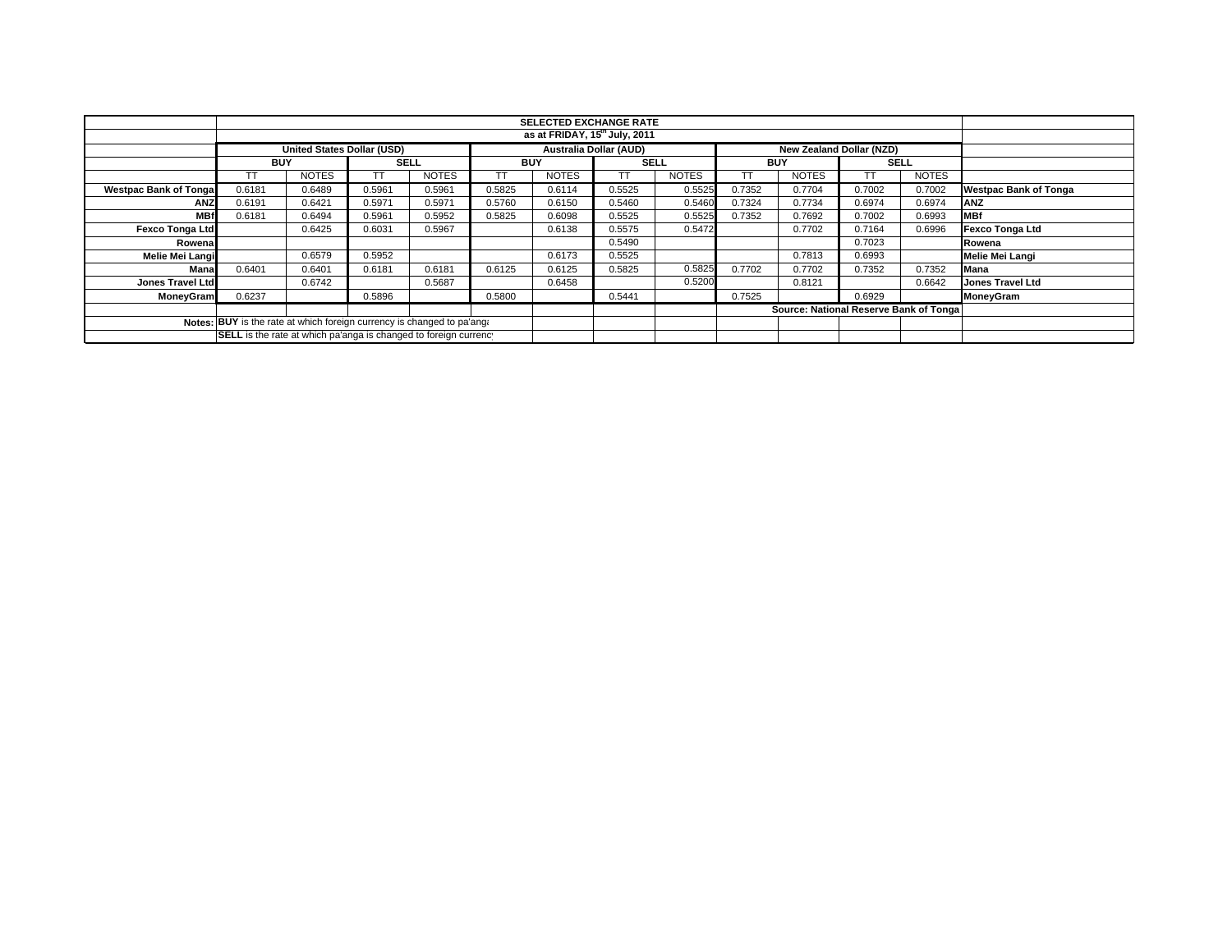|                                                                        |                                           | <b>SELECTED EXCHANGE RATE</b>                                    |             |              |            |              |                               |              |            |                                         |                          |              |                              |
|------------------------------------------------------------------------|-------------------------------------------|------------------------------------------------------------------|-------------|--------------|------------|--------------|-------------------------------|--------------|------------|-----------------------------------------|--------------------------|--------------|------------------------------|
|                                                                        | as at FRIDAY, 15 <sup>th</sup> July, 2011 |                                                                  |             |              |            |              |                               |              |            |                                         |                          |              |                              |
|                                                                        | United States Dollar (USD)                |                                                                  |             |              |            |              | <b>Australia Dollar (AUD)</b> |              |            |                                         | New Zealand Dollar (NZD) |              |                              |
|                                                                        | <b>BUY</b>                                |                                                                  | <b>SELL</b> |              | <b>BUY</b> |              | <b>SELL</b>                   |              | <b>BUY</b> |                                         | <b>SELL</b>              |              |                              |
|                                                                        |                                           | <b>NOTES</b>                                                     |             | <b>NOTES</b> |            | <b>NOTES</b> | TТ                            | <b>NOTES</b> | TТ         | <b>NOTES</b>                            | ТT                       | <b>NOTES</b> |                              |
| <b>Westpac Bank of Tongal</b>                                          | 0.6181                                    | 0.6489                                                           | 0.5961      | 0.5961       | 0.5825     | 0.6114       | 0.5525                        | 0.5525       | 0.7352     | 0.7704                                  | 0.7002                   | 0.7002       | <b>Westpac Bank of Tonga</b> |
| <b>ANZ</b>                                                             | 0.6191                                    | 0.6421                                                           | 0.5971      | 0.5971       | 0.5760     | 0.6150       | 0.5460                        | 0.5460       | 0.7324     | 0.7734                                  | 0.6974                   | 0.6974       | <b>ANZ</b>                   |
| <b>MBf</b>                                                             | 0.6181                                    | 0.6494                                                           | 0.5961      | 0.5952       | 0.5825     | 0.6098       | 0.5525                        | 0.5525       | 0.7352     | 0.7692                                  | 0.7002                   | 0.6993       | <b>MBf</b>                   |
| <b>Fexco Tonga Ltd</b>                                                 |                                           | 0.6425                                                           | 0.6031      | 0.5967       |            | 0.6138       | 0.5575                        | 0.5472       |            | 0.7702                                  | 0.7164                   | 0.6996       | <b>Fexco Tonga Ltd</b>       |
| Rowenal                                                                |                                           |                                                                  |             |              |            |              | 0.5490                        |              |            |                                         | 0.7023                   |              | Rowena                       |
| Melie Mei Langi                                                        |                                           | 0.6579                                                           | 0.5952      |              |            | 0.6173       | 0.5525                        |              |            | 0.7813                                  | 0.6993                   |              | Melie Mei Langi              |
| Mana                                                                   | 0.6401                                    | 0.6401                                                           | 0.6181      | 0.6181       | 0.6125     | 0.6125       | 0.5825                        | 0.5825       | 0.7702     | 0.7702                                  | 0.7352                   | 0.7352       | Mana                         |
| Jones Travel Ltd                                                       |                                           | 0.6742                                                           |             | 0.5687       |            | 0.6458       |                               | 0.5200       |            | 0.8121                                  |                          | 0.6642       | <b>Jones Travel Ltd</b>      |
| <b>MoneyGram</b>                                                       | 0.6237                                    |                                                                  | 0.5896      |              | 0.5800     |              | 0.5441                        |              | 0.7525     |                                         | 0.6929                   |              | <b>MoneyGram</b>             |
|                                                                        |                                           |                                                                  |             |              |            |              |                               |              |            | Source: National Reserve Bank of Tongal |                          |              |                              |
| Notes: BUY is the rate at which foreign currency is changed to pa'ang: |                                           |                                                                  |             |              |            |              |                               |              |            |                                         |                          |              |                              |
|                                                                        |                                           | SELL is the rate at which pa'anga is changed to foreign currency |             |              |            |              |                               |              |            |                                         |                          |              |                              |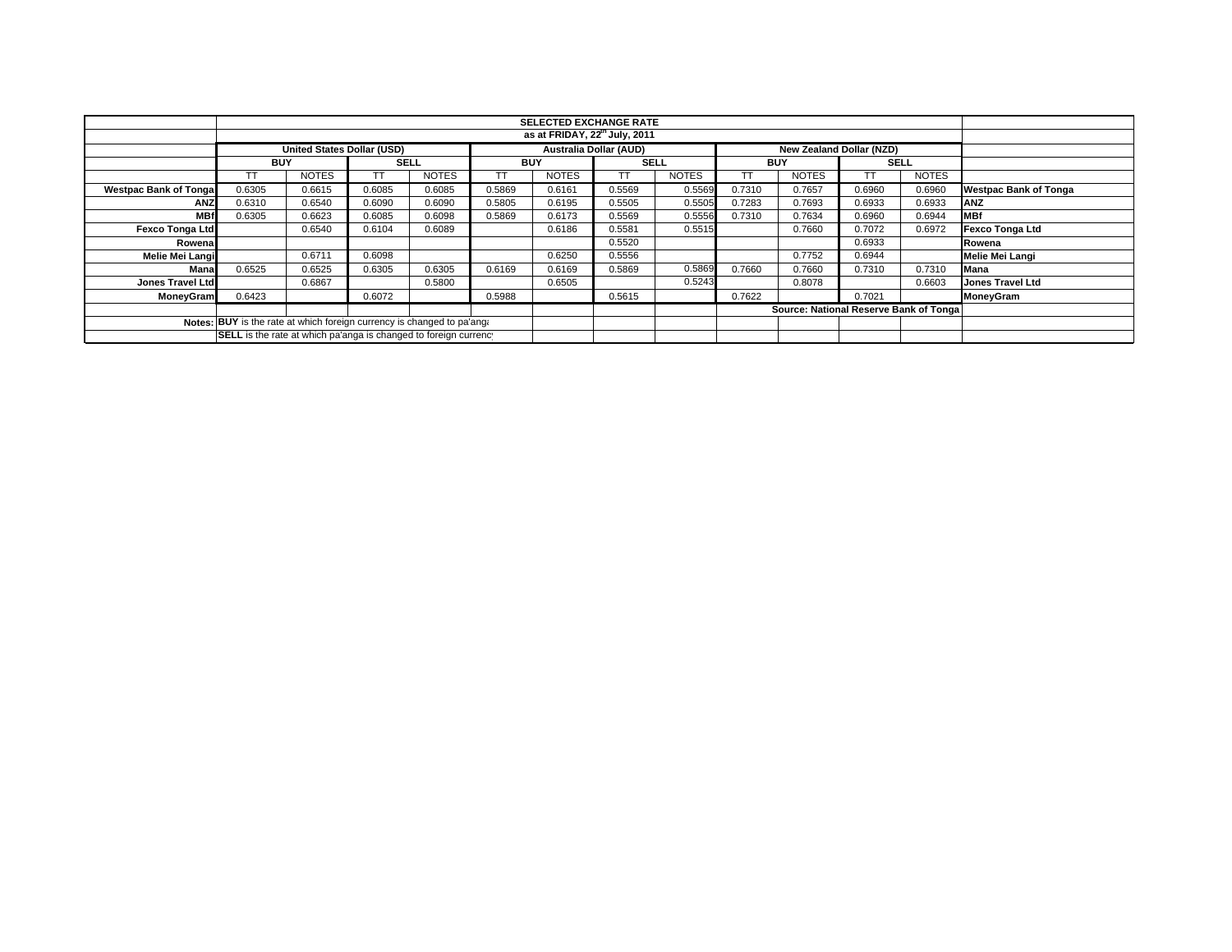|                                                                        |                                                                  |                                           |             |              |            | <b>SELECTED EXCHANGE RATE</b> |                               |              |            |                                         |             |              |                              |
|------------------------------------------------------------------------|------------------------------------------------------------------|-------------------------------------------|-------------|--------------|------------|-------------------------------|-------------------------------|--------------|------------|-----------------------------------------|-------------|--------------|------------------------------|
|                                                                        |                                                                  | as at FRIDAY, 22 <sup>th</sup> July, 2011 |             |              |            |                               |                               |              |            |                                         |             |              |                              |
|                                                                        | <b>United States Dollar (USD)</b>                                |                                           |             |              |            |                               | <b>Australia Dollar (AUD)</b> |              |            | New Zealand Dollar (NZD)                |             |              |                              |
|                                                                        | <b>BUY</b>                                                       |                                           | <b>SELL</b> |              | <b>BUY</b> |                               | <b>SELL</b>                   |              | <b>BUY</b> |                                         | <b>SELL</b> |              |                              |
|                                                                        |                                                                  | <b>NOTES</b>                              |             | <b>NOTES</b> |            | <b>NOTES</b>                  | TТ                            | <b>NOTES</b> | TТ         | <b>NOTES</b>                            | ТT          | <b>NOTES</b> |                              |
| <b>Westpac Bank of Tongal</b>                                          | 0.6305                                                           | 0.6615                                    | 0.6085      | 0.6085       | 0.5869     | 0.6161                        | 0.5569                        | 0.5569       | 0.7310     | 0.7657                                  | 0.6960      | 0.6960       | <b>Westpac Bank of Tonga</b> |
| ANZ                                                                    | 0.6310                                                           | 0.6540                                    | 0.6090      | 0.6090       | 0.5805     | 0.6195                        | 0.5505                        | 0.5505       | 0.7283     | 0.7693                                  | 0.6933      | 0.6933       | <b>ANZ</b>                   |
| <b>MBf</b>                                                             | 0.6305                                                           | 0.6623                                    | 0.6085      | 0.6098       | 0.5869     | 0.6173                        | 0.5569                        | 0.5556       | 0.7310     | 0.7634                                  | 0.6960      | 0.6944       | <b>MBf</b>                   |
| <b>Fexco Tonga Ltd</b>                                                 |                                                                  | 0.6540                                    | 0.6104      | 0.6089       |            | 0.6186                        | 0.5581                        | 0.5515       |            | 0.7660                                  | 0.7072      | 0.6972       | <b>Fexco Tonga Ltd</b>       |
| Rowenal                                                                |                                                                  |                                           |             |              |            |                               | 0.5520                        |              |            |                                         | 0.6933      |              | Rowena                       |
| Melie Mei Langi                                                        |                                                                  | 0.6711                                    | 0.6098      |              |            | 0.6250                        | 0.5556                        |              |            | 0.7752                                  | 0.6944      |              | Melie Mei Langi              |
| Mana                                                                   | 0.6525                                                           | 0.6525                                    | 0.6305      | 0.6305       | 0.6169     | 0.6169                        | 0.5869                        | 0.5869       | 0.7660     | 0.7660                                  | 0.7310      | 0.7310       | Mana                         |
| Jones Travel Ltd                                                       |                                                                  | 0.6867                                    |             | 0.5800       |            | 0.6505                        |                               | 0.5243       |            | 0.8078                                  |             | 0.6603       | <b>Jones Travel Ltd</b>      |
| <b>MoneyGram</b>                                                       | 0.6423                                                           |                                           | 0.6072      |              | 0.5988     |                               | 0.5615                        |              | 0.7622     |                                         | 0.7021      |              | <b>MoneyGram</b>             |
|                                                                        |                                                                  |                                           |             |              |            |                               |                               |              |            | Source: National Reserve Bank of Tongal |             |              |                              |
| Notes: BUY is the rate at which foreign currency is changed to pa'ang. |                                                                  |                                           |             |              |            |                               |                               |              |            |                                         |             |              |                              |
|                                                                        | SELL is the rate at which pa'anga is changed to foreign currency |                                           |             |              |            |                               |                               |              |            |                                         |             |              |                              |